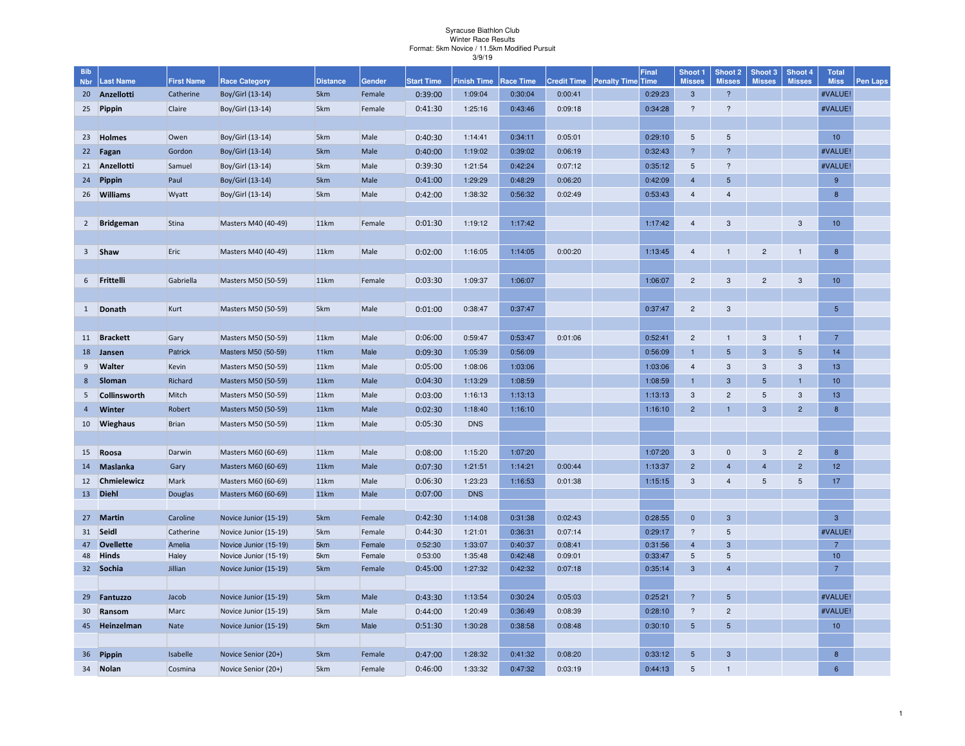## Syracuse Biathlon Club Winter Race Results Format: 5km Novice / 11.5km Modified Pursuit3/9/19

| <b>Bib</b>     |                  |                   |                       |                 |        |                   |                    |                  |                    |                          | <b>Final</b> | Shoot 1                 | <b>Shoot 2</b>          | Shoot 3         | Shoot 4         | <b>Total</b>     |                 |
|----------------|------------------|-------------------|-----------------------|-----------------|--------|-------------------|--------------------|------------------|--------------------|--------------------------|--------------|-------------------------|-------------------------|-----------------|-----------------|------------------|-----------------|
| <b>Nbr</b>     | <b>Last Name</b> | <b>First Name</b> | <b>Race Category</b>  | <b>Distance</b> | Gender | <b>Start Time</b> | <b>Finish Time</b> | <b>Race Time</b> | <b>Credit Time</b> | <b>Penalty Time</b> Time |              | <b>Misses</b>           | <b>Misses</b>           | <b>Misses</b>   | <b>Misses</b>   | <b>Miss</b>      | <b>Pen Laps</b> |
| 20             | Anzellotti       | Catherine         | Boy/Girl (13-14)      | 5km             | Female | 0:39:00           | 1:09:04            | 0:30:04          | 0:00:41            |                          | 0:29:23      | $\mathbf{3}$            | $\overline{?}$          |                 |                 | #VALUE!          |                 |
| 25             | Pippin           | Claire            | Boy/Girl (13-14)      | 5km             | Female | 0:41:30           | 1:25:16            | 0:43:46          | 0:09:18            |                          | 0:34:28      | $\overline{\mathbf{?}}$ | $\overline{\mathbf{?}}$ |                 |                 | #VALUE!          |                 |
|                |                  |                   |                       |                 |        |                   |                    |                  |                    |                          |              |                         |                         |                 |                 |                  |                 |
| 23             | <b>Holmes</b>    | Owen              | Boy/Girl (13-14)      | 5km             | Male   | 0:40:30           | 1:14:41            | 0:34:11          | 0:05:01            |                          | 0:29:10      | $5\phantom{.0}$         | 5                       |                 |                 | 10 <sup>°</sup>  |                 |
| 22             | Fagan            | Gordon            | Boy/Girl (13-14)      | 5km             | Male   | 0:40:00           | 1:19:02            | 0:39:02          | 0:06:19            |                          | 0:32:43      | $\overline{2}$          | $\overline{?}$          |                 |                 | #VALUE!          |                 |
| 21             | Anzellotti       | Samuel            | Boy/Girl (13-14)      | 5km             | Male   | 0:39:30           | 1:21:54            | 0:42:24          | 0:07:12            |                          | 0:35:12      | $5\phantom{.0}$         | $\overline{\mathbf{?}}$ |                 |                 | #VALUE!          |                 |
| 24             | <b>Pippin</b>    | Paul              | Boy/Girl (13-14)      | 5km             | Male   | 0:41:00           | 1:29:29            | 0:48:29          | 0:06:20            |                          | 0:42:09      | $\overline{4}$          | 5                       |                 |                 | 9                |                 |
| 26             | <b>Williams</b>  | Wyatt             | Boy/Girl (13-14)      | 5km             | Male   | 0:42:00           | 1:38:32            | 0:56:32          | 0:02:49            |                          | 0:53:43      | $\overline{4}$          | $\overline{4}$          |                 |                 | 8                |                 |
|                |                  |                   |                       |                 |        |                   |                    |                  |                    |                          |              |                         |                         |                 |                 |                  |                 |
| $\overline{2}$ | <b>Bridgeman</b> | Stina             | Masters M40 (40-49)   | 11km            | Female | 0:01:30           | 1:19:12            | 1:17:42          |                    |                          | 1:17:42      | $\overline{4}$          | 3                       |                 | 3               | 10 <sup>10</sup> |                 |
|                |                  |                   |                       |                 |        |                   |                    |                  |                    |                          |              |                         |                         |                 |                 |                  |                 |
| $\overline{3}$ | Shaw             | Eric              | Masters M40 (40-49)   | 11km            | Male   | 0:02:00           | 1:16:05            | 1:14:05          | 0:00:20            |                          | 1:13:45      | $\overline{4}$          | $\overline{1}$          | $\overline{2}$  | $\mathbf{1}$    | 8                |                 |
|                |                  |                   |                       |                 |        |                   |                    |                  |                    |                          |              |                         |                         |                 |                 |                  |                 |
| 6              | Frittelli        | Gabriella         | Masters M50 (50-59)   | 11km            | Female | 0:03:30           | 1:09:37            | 1:06:07          |                    |                          | 1:06:07      | $\overline{c}$          | 3                       | $\overline{c}$  | $\mathbf{3}$    | 10               |                 |
|                |                  |                   |                       |                 |        |                   |                    |                  |                    |                          |              |                         |                         |                 |                 |                  |                 |
| $\mathbf{1}$   | Donath           | Kurt              | Masters M50 (50-59)   | 5km             | Male   | 0:01:00           | 0:38:47            | 0:37:47          |                    |                          | 0:37:47      | $\overline{c}$          | 3                       |                 |                 | $5\phantom{.0}$  |                 |
|                |                  |                   |                       |                 |        |                   |                    |                  |                    |                          |              |                         |                         |                 |                 |                  |                 |
| 11             | <b>Brackett</b>  | Gary              | Masters M50 (50-59)   | 11km            | Male   | 0:06:00           | 0:59:47            | 0:53:47          | 0:01:06            |                          | 0:52:41      | $\overline{2}$          | $\mathbf{1}$            | 3               | $\mathbf{1}$    | $\overline{7}$   |                 |
| 18             | Jansen           | Patrick           | Masters M50 (50-59)   | 11km            | Male   | 0:09:30           | 1:05:39            | 0:56:09          |                    |                          | 0:56:09      | $\overline{1}$          | 5                       | $\mathbf{3}$    | $5\phantom{.0}$ | 14               |                 |
| 9              | <b>Walter</b>    | <b>Kevin</b>      | Masters M50 (50-59)   | 11km            | Male   | 0:05:00           | 1:08:06            | 1:03:06          |                    |                          | 1:03:06      | $\overline{4}$          | 3                       | 3               | 3               | 13               |                 |
| 8              | Sloman           | Richard           | Masters M50 (50-59)   | 11km            | Male   | 0:04:30           | 1:13:29            | 1:08:59          |                    |                          | 1:08:59      |                         | $\mathbf{3}$            | $5\phantom{.0}$ | $\blacksquare$  | 10               |                 |
| 5              | Collinsworth     | Mitch             | Masters M50 (50-59)   | 11km            | Male   | 0:03:00           | 1:16:13            | 1:13:13          |                    |                          | 1:13:13      | 3                       | $\overline{2}$          | $\sqrt{5}$      | $\mathbf{3}$    | 13               |                 |
| $\overline{4}$ | <b>Winter</b>    | Robert            | Masters M50 (50-59)   | 11km            | Male   | 0:02:30           | 1:18:40            | 1:16:10          |                    |                          | 1:16:10      | $\overline{2}$          | $\mathbf{1}$            | $\mathbf{3}$    | $\overline{2}$  | 8                |                 |
| 10             | <b>Wieghaus</b>  | Brian             | Masters M50 (50-59)   | 11km            | Male   | 0:05:30           | <b>DNS</b>         |                  |                    |                          |              |                         |                         |                 |                 |                  |                 |
|                |                  |                   |                       |                 |        |                   |                    |                  |                    |                          |              |                         |                         |                 |                 |                  |                 |
| 15             | Roosa            | Darwin            | Masters M60 (60-69)   | 11km            | Male   | 0:08:00           | 1:15:20            | 1:07:20          |                    |                          | 1:07:20      | 3                       | $\mathbf 0$             | 3               | $\overline{2}$  | 8                |                 |
| 14             | Maslanka         | Gary              | Masters M60 (60-69)   | 11km            | Male   | 0:07:30           | 1:21:51            | 1:14:21          | 0:00:44            |                          | 1:13:37      | $\overline{2}$          | $\overline{4}$          | $\overline{4}$  | $\overline{2}$  | 12               |                 |
| 12             | Chmielewicz      | Mark              | Masters M60 (60-69)   | 11km            | Male   | 0:06:30           | 1:23:23            | 1:16:53          | 0:01:38            |                          | 1:15:15      | 3                       | $\overline{4}$          | $5\phantom{.0}$ | $5\overline{5}$ | 17               |                 |
| 13             | <b>Diehl</b>     | <b>Douglas</b>    | Masters M60 (60-69)   | 11km            | Male   | 0:07:00           | <b>DNS</b>         |                  |                    |                          |              |                         |                         |                 |                 |                  |                 |
|                |                  |                   |                       |                 |        |                   |                    |                  |                    |                          |              |                         |                         |                 |                 |                  |                 |
| 27             | <b>Martin</b>    | Caroline          | Novice Junior (15-19) | 5km             | Female | 0:42:30           | 1:14:08            | 0:31:38          | 0:02:43            |                          | 0:28:55      | $\mathbf{0}$            | $\mathbf{3}$            |                 |                 | $\mathbf{3}$     |                 |
| 31             | Seidl            | Catherine         | Novice Junior (15-19) | 5km             | Female | 0:44:30           | 1:21:01            | 0:36:31          | 0:07:14            |                          | 0:29:17      | $\overline{\mathbf{?}}$ | 5                       |                 |                 | #VALUE!          |                 |
| 47             | <b>Ovellette</b> | Amelia            | Novice Junior (15-19) | 5km             | Female | 0:52:30           | 1:33:07            | 0:40:37          | 0:08:41            |                          | 0:31:56      | $\overline{4}$          | 3                       |                 |                 | $\overline{7}$   |                 |
| 48             | <b>Hinds</b>     | Haley             | Novice Junior (15-19) | 5km             | Female | 0:53:00           | 1:35:48            | 0:42:48          | 0:09:01            |                          | 0:33:47      | $\sqrt{5}$              | $5\phantom{.0}$         |                 |                 | 10 <sup>°</sup>  |                 |
| 32             | Sochia           | Jillian           | Novice Junior (15-19) | 5km             | Female | 0:45:00           | 1:27:32            | 0:42:32          | 0:07:18            |                          | 0:35:14      | $\mathbf{3}$            | $\overline{4}$          |                 |                 | $\overline{7}$   |                 |
|                |                  |                   |                       |                 |        |                   |                    |                  |                    |                          |              |                         |                         |                 |                 |                  |                 |
| 29             | Fantuzzo         | Jacob             | Novice Junior (15-19) | 5km             | Male   | 0:43:30           | 1:13:54            | 0:30:24          | 0:05:03            |                          | 0:25:21      | $\overline{?}$          | 5                       |                 |                 | #VALUE!          |                 |
| 30             | Ransom           | Marc              | Novice Junior (15-19) | 5km             | Male   | 0:44:00           | 1:20:49            | 0:36:49          | 0:08:39            |                          | 0:28:10      | $\boldsymbol{?}$        | $\overline{c}$          |                 |                 | #VALUE!          |                 |
| 45             | Heinzelman       | Nate              | Novice Junior (15-19) | 5km             | Male   | 0:51:30           | 1:30:28            | 0:38:58          | 0:08:48            |                          | 0:30:10      | $5\phantom{.0}$         | $5\phantom{1}$          |                 |                 | 10 <sup>10</sup> |                 |
|                |                  |                   |                       |                 |        |                   |                    |                  |                    |                          |              |                         |                         |                 |                 |                  |                 |
| 36             | Pippin           | Isabelle          | Novice Senior (20+)   | 5km             | Female | 0:47:00           | 1:28:32            | 0:41:32          | 0:08:20            |                          | 0:33:12      | $5\phantom{.0}$         | $\mathbf{3}$            |                 |                 | 8                |                 |
| 34             | Nolan            | Cosmina           | Novice Senior (20+)   | 5km             | Female | 0:46:00           | 1:33:32            | 0:47:32          | 0:03:19            |                          | 0:44:13      | 5                       | $\overline{1}$          |                 |                 | 6                |                 |